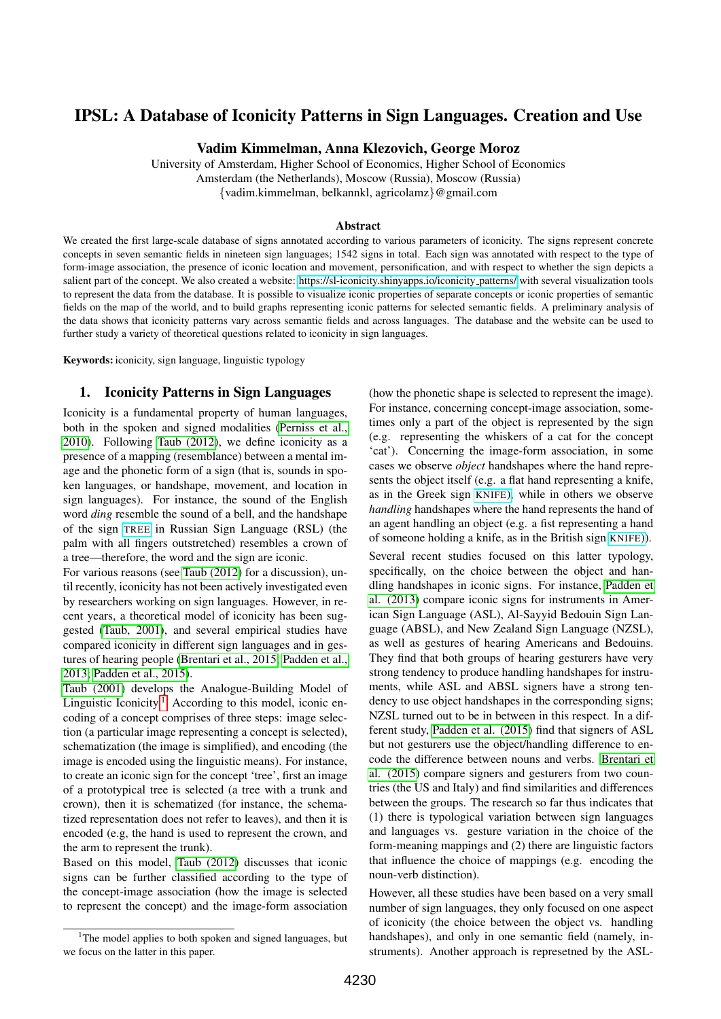# IPSL: A Database of Iconicity Patterns in Sign Languages. Creation and Use

Vadim Kimmelman, Anna Klezovich, George Moroz

University of Amsterdam, Higher School of Economics, Higher School of Economics Amsterdam (the Netherlands), Moscow (Russia), Moscow (Russia) {vadim.kimmelman, belkannkl, agricolamz}@gmail.com

#### Abstract

We created the first large-scale database of signs annotated according to various parameters of iconicity. The signs represent concrete concepts in seven semantic fields in nineteen sign languages; 1542 signs in total. Each sign was annotated with respect to the type of form-image association, the presence of iconic location and movement, personification, and with respect to whether the sign depicts a salient part of the concept. We also created a website: [https://sl-iconicity.shinyapps.io/iconicity](https://sl-iconicity.shinyapps.io/iconicity_patterns/) patterns/ with several visualization tools to represent the data from the database. It is possible to visualize iconic properties of separate concepts or iconic properties of semantic fields on the map of the world, and to build graphs representing iconic patterns for selected semantic fields. A preliminary analysis of the data shows that iconicity patterns vary across semantic fields and across languages. The database and the website can be used to further study a variety of theoretical questions related to iconicity in sign languages.

Keywords: iconicity, sign language, linguistic typology

### 1. Iconicity Patterns in Sign Languages

Iconicity is a fundamental property of human languages, both in the spoken and signed modalities [\(Perniss et al.,](#page-4-0) [2010\)](#page-4-0). Following [Taub \(2012\)](#page-4-1), we define iconicity as a presence of a mapping (resemblance) between a mental image and the phonetic form of a sign (that is, sounds in spoken languages, or handshape, movement, and location in sign languages). For instance, the sound of the English word *ding* resemble the sound of a bell, and the handshape of the sign [TREE](https://media.spreadthesign.com/video/mp4/12/39508.mp4) in Russian Sign Language (RSL) (the palm with all fingers outstretched) resembles a crown of a tree—therefore, the word and the sign are iconic.

For various reasons (see [Taub \(2012\)](#page-4-1) for a discussion), until recently, iconicity has not been actively investigated even by researchers working on sign languages. However, in recent years, a theoretical model of iconicity has been suggested [\(Taub, 2001\)](#page-4-2), and several empirical studies have compared iconicity in different sign languages and in gestures of hearing people [\(Brentari et al., 2015;](#page-4-3) [Padden et al.,](#page-4-4) [2013;](#page-4-4) [Padden et al., 2015\)](#page-4-5).

[Taub \(2001\)](#page-4-2) develops the Analogue-Building Model of Linguistic Iconicity.<sup>[1](#page-0-0)</sup> According to this model, iconic encoding of a concept comprises of three steps: image selection (a particular image representing a concept is selected), schematization (the image is simplified), and encoding (the image is encoded using the linguistic means). For instance, to create an iconic sign for the concept 'tree', first an image of a prototypical tree is selected (a tree with a trunk and crown), then it is schematized (for instance, the schematized representation does not refer to leaves), and then it is encoded (e.g, the hand is used to represent the crown, and the arm to represent the trunk).

Based on this model, [Taub \(2012\)](#page-4-1) discusses that iconic signs can be further classified according to the type of the concept-image association (how the image is selected to represent the concept) and the image-form association

(how the phonetic shape is selected to represent the image). For instance, concerning concept-image association, sometimes only a part of the object is represented by the sign (e.g. representing the whiskers of a cat for the concept 'cat'). Concerning the image-form association, in some cases we observe *object* handshapes where the hand represents the object itself (e.g. a flat hand representing a knife, as in the Greek sign [KNIFE](https://media.spreadthesign.com/video/mp4/38/218861.mp4)), while in others we observe *handling* handshapes where the hand represents the hand of an agent handling an object (e.g. a fist representing a hand of someone holding a knife, as in the British sign [KNIFE](https://media.spreadthesign.com/video/mp4/1/845.mp4))).

Several recent studies focused on this latter typology, specifically, on the choice between the object and handling handshapes in iconic signs. For instance, [Padden et](#page-4-4) [al. \(2013\)](#page-4-4) compare iconic signs for instruments in American Sign Language (ASL), Al-Sayyid Bedouin Sign Language (ABSL), and New Zealand Sign Language (NZSL), as well as gestures of hearing Americans and Bedouins. They find that both groups of hearing gesturers have very strong tendency to produce handling handshapes for instruments, while ASL and ABSL signers have a strong tendency to use object handshapes in the corresponding signs; NZSL turned out to be in between in this respect. In a different study, [Padden et al. \(2015\)](#page-4-5) find that signers of ASL but not gesturers use the object/handling difference to encode the difference between nouns and verbs. [Brentari et](#page-4-3) [al. \(2015\)](#page-4-3) compare signers and gesturers from two countries (the US and Italy) and find similarities and differences between the groups. The research so far thus indicates that (1) there is typological variation between sign languages and languages vs. gesture variation in the choice of the form-meaning mappings and (2) there are linguistic factors that influence the choice of mappings (e.g. encoding the noun-verb distinction).

However, all these studies have been based on a very small number of sign languages, they only focused on one aspect of iconicity (the choice between the object vs. handling handshapes), and only in one semantic field (namely, instruments). Another approach is represetned by the ASL-

<span id="page-0-0"></span><sup>&</sup>lt;sup>1</sup>The model applies to both spoken and signed languages, but we focus on the latter in this paper.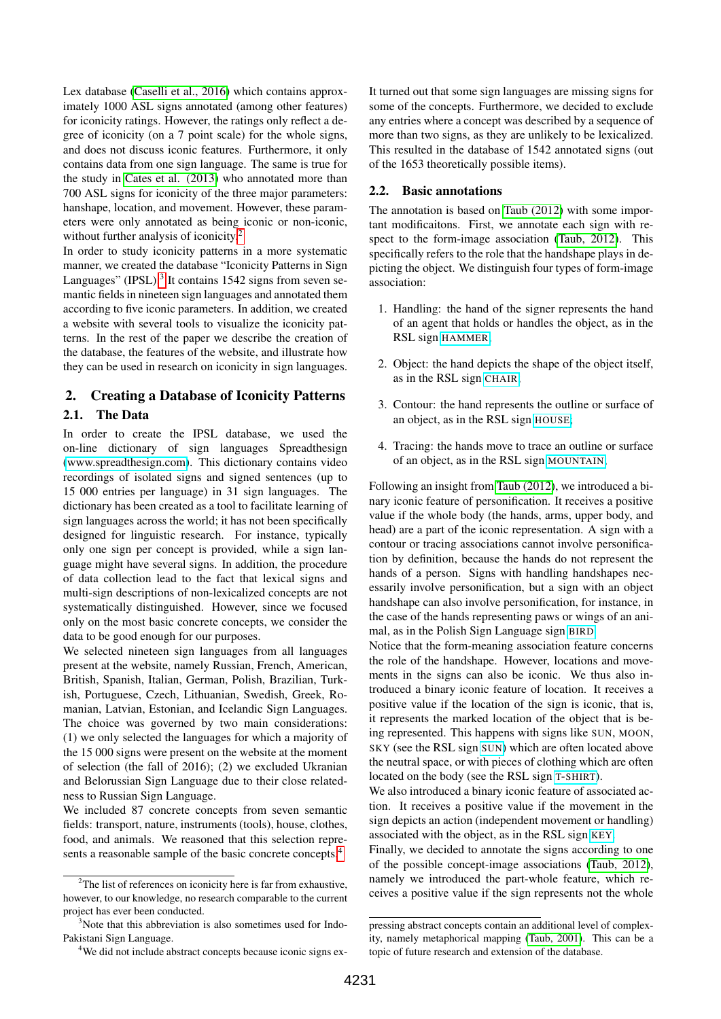Lex database [\(Caselli et al., 2016\)](#page-4-6) which contains approximately 1000 ASL signs annotated (among other features) for iconicity ratings. However, the ratings only reflect a degree of iconicity (on a 7 point scale) for the whole signs, and does not discuss iconic features. Furthermore, it only contains data from one sign language. The same is true for the study in [Cates et al. \(2013\)](#page-4-7) who annotated more than 700 ASL signs for iconicity of the three major parameters: hanshape, location, and movement. However, these parameters were only annotated as being iconic or non-iconic, without further analysis of iconicity.<sup>[2](#page-1-0)</sup>

In order to study iconicity patterns in a more systematic manner, we created the database "Iconicity Patterns in Sign Languages" (IPSL).<sup>[3](#page-1-1)</sup> It contains 1542 signs from seven semantic fields in nineteen sign languages and annotated them according to five iconic parameters. In addition, we created a website with several tools to visualize the iconicity patterns. In the rest of the paper we describe the creation of the database, the features of the website, and illustrate how they can be used in research on iconicity in sign languages.

## 2. Creating a Database of Iconicity Patterns

### 2.1. The Data

In order to create the IPSL database, we used the on-line dictionary of sign languages Spreadthesign [\(www.spreadthesign.com\)](www.spreadthesign.com). This dictionary contains video recordings of isolated signs and signed sentences (up to 15 000 entries per language) in 31 sign languages. The dictionary has been created as a tool to facilitate learning of sign languages across the world; it has not been specifically designed for linguistic research. For instance, typically only one sign per concept is provided, while a sign language might have several signs. In addition, the procedure of data collection lead to the fact that lexical signs and multi-sign descriptions of non-lexicalized concepts are not systematically distinguished. However, since we focused only on the most basic concrete concepts, we consider the data to be good enough for our purposes.

We selected nineteen sign languages from all languages present at the website, namely Russian, French, American, British, Spanish, Italian, German, Polish, Brazilian, Turkish, Portuguese, Czech, Lithuanian, Swedish, Greek, Romanian, Latvian, Estonian, and Icelandic Sign Languages. The choice was governed by two main considerations: (1) we only selected the languages for which a majority of the 15 000 signs were present on the website at the moment of selection (the fall of 2016); (2) we excluded Ukranian and Belorussian Sign Language due to their close relatedness to Russian Sign Language.

We included 87 concrete concepts from seven semantic fields: transport, nature, instruments (tools), house, clothes, food, and animals. We reasoned that this selection repre-sents a reasonable sample of the basic concrete concepts.<sup>[4](#page-1-2)</sup>

It turned out that some sign languages are missing signs for some of the concepts. Furthermore, we decided to exclude any entries where a concept was described by a sequence of more than two signs, as they are unlikely to be lexicalized. This resulted in the database of 1542 annotated signs (out of the 1653 theoretically possible items).

# 2.2. Basic annotations

The annotation is based on [Taub \(2012\)](#page-4-1) with some important modificaitons. First, we annotate each sign with respect to the form-image association [\(Taub, 2012\)](#page-4-1). This specifically refers to the role that the handshape plays in depicting the object. We distinguish four types of form-image association:

- 1. Handling: the hand of the signer represents the hand of an agent that holds or handles the object, as in the RSL sign [HAMMER](https://media.spreadthesign.com/video/mp4/12/56.mp4);
- 2. Object: the hand depicts the shape of the object itself, as in the RSL sign [CHAIR](https://media.spreadthesign.com/video/mp4/12/7905.mp4);
- 3. Contour: the hand represents the outline or surface of an object, as in the RSL sign [HOUSE](https://media.spreadthesign.com/video/mp4/12/349172.mp4);
- 4. Tracing: the hands move to trace an outline or surface of an object, as in the RSL sign [MOUNTAIN](https://media.spreadthesign.com/video/mp4/12/16407.mp4);

Following an insight from [Taub \(2012\)](#page-4-1), we introduced a binary iconic feature of personification. It receives a positive value if the whole body (the hands, arms, upper body, and head) are a part of the iconic representation. A sign with a contour or tracing associations cannot involve personification by definition, because the hands do not represent the hands of a person. Signs with handling handshapes necessarily involve personification, but a sign with an object handshape can also involve personification, for instance, in the case of the hands representing paws or wings of an animal, as in the Polish Sign Language sign [BIRD](https://media.spreadthesign.com/video/mp4/19/59866.mp4).

Notice that the form-meaning association feature concerns the role of the handshape. However, locations and movements in the signs can also be iconic. We thus also introduced a binary iconic feature of location. It receives a positive value if the location of the sign is iconic, that is, it represents the marked location of the object that is being represented. This happens with signs like SUN, MOON, SKY (see the RSL sign [SUN](https://media.spreadthesign.com/video/mp4/12/17058.mp4)) which are often located above the neutral space, or with pieces of clothing which are often located on the body (see the RSL sign T-[SHIRT](https://media.spreadthesign.com/video/mp4/12/14733.mp4)).

We also introduced a binary iconic feature of associated action. It receives a positive value if the movement in the sign depicts an action (independent movement or handling) associated with the object, as in the RSL sign [KEY](https://media.spreadthesign.com/video/mp4/12/228353.mp4).

Finally, we decided to annotate the signs according to one of the possible concept-image associations [\(Taub, 2012\)](#page-4-1), namely we introduced the part-whole feature, which receives a positive value if the sign represents not the whole

<span id="page-1-0"></span><sup>&</sup>lt;sup>2</sup>The list of references on iconicity here is far from exhaustive, however, to our knowledge, no research comparable to the current project has ever been conducted.

<span id="page-1-1"></span> $3$ Note that this abbreviation is also sometimes used for Indo-Pakistani Sign Language.

<span id="page-1-2"></span><sup>&</sup>lt;sup>4</sup>We did not include abstract concepts because iconic signs ex-

pressing abstract concepts contain an additional level of complexity, namely metaphorical mapping [\(Taub, 2001\)](#page-4-2). This can be a topic of future research and extension of the database.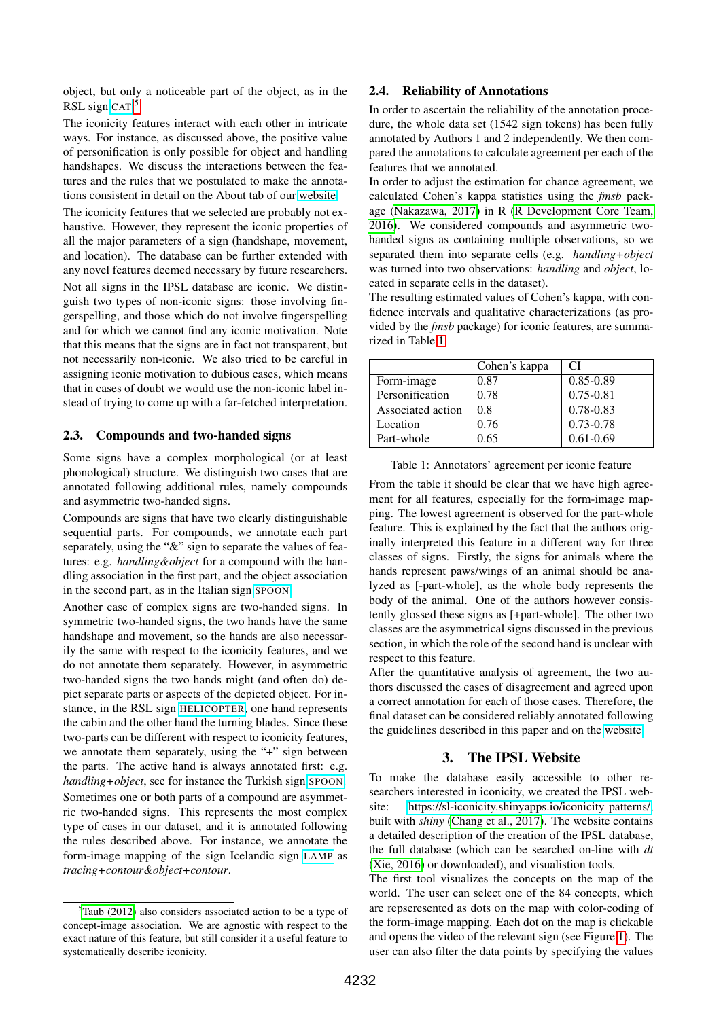object, but only a noticeable part of the object, as in the RSL sign [CAT](https://media.spreadthesign.com/video/mp4/12/13448.mp4).<sup>[5](#page-2-0)</sup>

The iconicity features interact with each other in intricate ways. For instance, as discussed above, the positive value of personification is only possible for object and handling handshapes. We discuss the interactions between the features and the rules that we postulated to make the annotations consistent in detail on the About tab of our [website.](https://sl-iconicity.shinyapps.io/iconicity_patterns/)

The iconicity features that we selected are probably not exhaustive. However, they represent the iconic properties of all the major parameters of a sign (handshape, movement, and location). The database can be further extended with any novel features deemed necessary by future researchers. Not all signs in the IPSL database are iconic. We distin-

guish two types of non-iconic signs: those involving fingerspelling, and those which do not involve fingerspelling and for which we cannot find any iconic motivation. Note that this means that the signs are in fact not transparent, but not necessarily non-iconic. We also tried to be careful in assigning iconic motivation to dubious cases, which means that in cases of doubt we would use the non-iconic label instead of trying to come up with a far-fetched interpretation.

#### 2.3. Compounds and two-handed signs

Some signs have a complex morphological (or at least phonological) structure. We distinguish two cases that are annotated following additional rules, namely compounds and asymmetric two-handed signs.

Compounds are signs that have two clearly distinguishable sequential parts. For compounds, we annotate each part separately, using the "&" sign to separate the values of features: e.g. *handling&object* for a compound with the handling association in the first part, and the object association in the second part, as in the Italian sign [SPOON](https://media.spreadthesign.com/video/mp4/17/178120.mp4).

Another case of complex signs are two-handed signs. In symmetric two-handed signs, the two hands have the same handshape and movement, so the hands are also necessarily the same with respect to the iconicity features, and we do not annotate them separately. However, in asymmetric two-handed signs the two hands might (and often do) depict separate parts or aspects of the depicted object. For instance, in the RSL sign [HELICOPTER](https://media.spreadthesign.com/video/mp4/12/34232.mp4), one hand represents the cabin and the other hand the turning blades. Since these two-parts can be different with respect to iconicity features, we annotate them separately, using the "+" sign between the parts. The active hand is always annotated first: e.g. *handling+object*, see for instance the Turkish sign [SPOON](https://media.spreadthesign.com/video/mp4/11/11821.mp4). Sometimes one or both parts of a compound are asymmetric two-handed signs. This represents the most complex type of cases in our dataset, and it is annotated following the rules described above. For instance, we annotate the form-image mapping of the sign Icelandic sign [LAMP](https://media.spreadthesign.com/video/mp4/21/235285.mp4) as *tracing+contour&object+contour*.

### 2.4. Reliability of Annotations

In order to ascertain the reliability of the annotation procedure, the whole data set (1542 sign tokens) has been fully annotated by Authors 1 and 2 independently. We then compared the annotations to calculate agreement per each of the features that we annotated.

In order to adjust the estimation for chance agreement, we calculated Cohen's kappa statistics using the *fmsb* package [\(Nakazawa, 2017\)](#page-4-8) in R [\(R Development Core Team,](#page-4-9) [2016\)](#page-4-9). We considered compounds and asymmetric twohanded signs as containing multiple observations, so we separated them into separate cells (e.g. *handling+object* was turned into two observations: *handling* and *object*, located in separate cells in the dataset).

The resulting estimated values of Cohen's kappa, with confidence intervals and qualitative characterizations (as provided by the *fmsb* package) for iconic features, are summarized in Table [1.](#page-2-1)

|                   | Cohen's kappa | CI            |
|-------------------|---------------|---------------|
| Form-image        | 0.87          | $0.85 - 0.89$ |
| Personification   | 0.78          | $0.75 - 0.81$ |
| Associated action | 0.8           | 0.78-0.83     |
| Location          | 0.76          | $0.73 - 0.78$ |
| Part-whole        | 0.65          | $0.61 - 0.69$ |

<span id="page-2-1"></span>Table 1: Annotators' agreement per iconic feature

From the table it should be clear that we have high agreement for all features, especially for the form-image mapping. The lowest agreement is observed for the part-whole feature. This is explained by the fact that the authors originally interpreted this feature in a different way for three classes of signs. Firstly, the signs for animals where the hands represent paws/wings of an animal should be analyzed as [-part-whole], as the whole body represents the body of the animal. One of the authors however consistently glossed these signs as [+part-whole]. The other two classes are the asymmetrical signs discussed in the previous section, in which the role of the second hand is unclear with respect to this feature.

After the quantitative analysis of agreement, the two authors discussed the cases of disagreement and agreed upon a correct annotation for each of those cases. Therefore, the final dataset can be considered reliably annotated following the guidelines described in this paper and on the [website.](https://sl-iconicity.shinyapps.io/iconicity_patterns/)

### 3. The IPSL Website

To make the database easily accessible to other researchers interested in iconicity, we created the IPSL website: [https://sl-iconicity.shinyapps.io/iconicity](https://sl-iconicity.shinyapps.io/iconicity_patterns/) patterns/, built with *shiny* [\(Chang et al., 2017\)](#page-4-10). The website contains a detailed description of the creation of the IPSL database, the full database (which can be searched on-line with *dt* [\(Xie, 2016\)](#page-4-11) or downloaded), and visualistion tools.

The first tool visualizes the concepts on the map of the world. The user can select one of the 84 concepts, which are repseresented as dots on the map with color-coding of the form-image mapping. Each dot on the map is clickable and opens the video of the relevant sign (see Figure [1\)](#page-3-0). The user can also filter the data points by specifying the values

<span id="page-2-0"></span> $5$ [Taub \(2012\)](#page-4-1) also considers associated action to be a type of concept-image association. We are agnostic with respect to the exact nature of this feature, but still consider it a useful feature to systematically describe iconicity.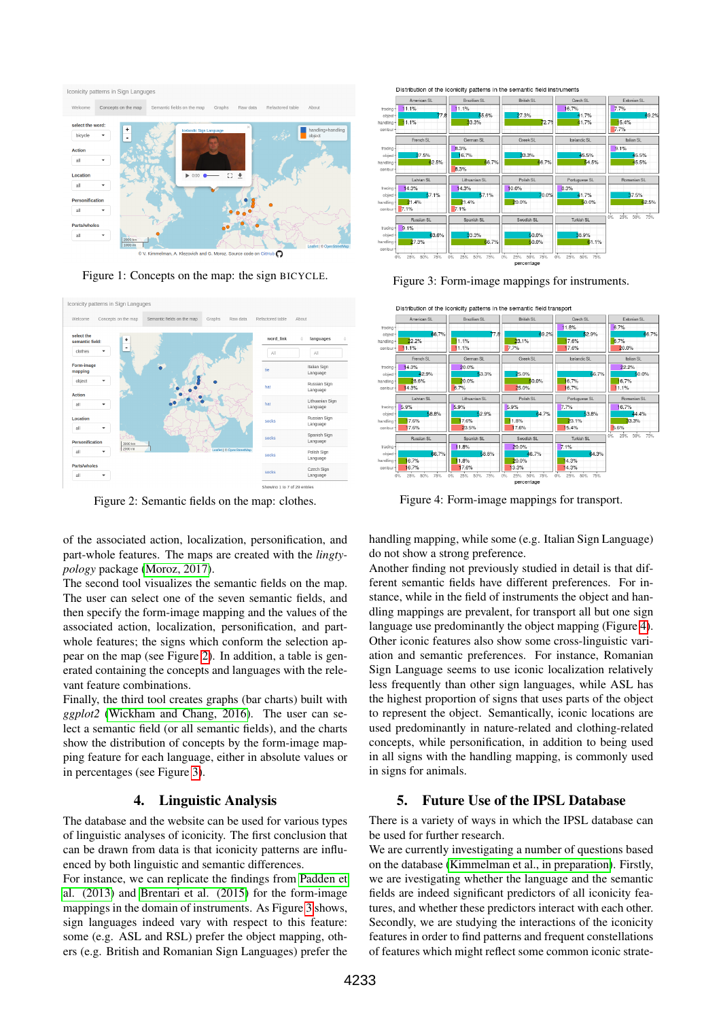

<span id="page-3-0"></span>Figure 1: Concepts on the map: the sign BICYCLE.



<span id="page-3-1"></span>Figure 2: Semantic fields on the map: clothes.

of the associated action, localization, personification, and part-whole features. The maps are created with the *lingtypology* package [\(Moroz, 2017\)](#page-4-12).

The second tool visualizes the semantic fields on the map. The user can select one of the seven semantic fields, and then specify the form-image mapping and the values of the associated action, localization, personification, and partwhole features; the signs which conform the selection appear on the map (see Figure [2\)](#page-3-1). In addition, a table is generated containing the concepts and languages with the relevant feature combinations.

Finally, the third tool creates graphs (bar charts) built with *ggplot2* [\(Wickham and Chang, 2016\)](#page-4-13). The user can select a semantic field (or all semantic fields), and the charts show the distribution of concepts by the form-image mapping feature for each language, either in absolute values or in percentages (see Figure [3\)](#page-3-2).

## 4. Linguistic Analysis

The database and the website can be used for various types of linguistic analyses of iconicity. The first conclusion that can be drawn from data is that iconicity patterns are influenced by both linguistic and semantic differences.

For instance, we can replicate the findings from [Padden et](#page-4-4) [al. \(2013\)](#page-4-4) and [Brentari et al. \(2015\)](#page-4-3) for the form-image mappings in the domain of instruments. As Figure [3](#page-3-2) shows, sign languages indeed vary with respect to this feature: some (e.g. ASL and RSL) prefer the object mapping, others (e.g. British and Romanian Sign Languages) prefer the





<span id="page-3-2"></span>Figure 3: Form-image mappings for instruments.



<span id="page-3-3"></span>Figure 4: Form-image mappings for transport.

handling mapping, while some (e.g. Italian Sign Language) do not show a strong preference.

Another finding not previously studied in detail is that different semantic fields have different preferences. For instance, while in the field of instruments the object and handling mappings are prevalent, for transport all but one sign language use predominantly the object mapping (Figure [4\)](#page-3-3). Other iconic features also show some cross-linguistic variation and semantic preferences. For instance, Romanian Sign Language seems to use iconic localization relatively less frequently than other sign languages, while ASL has the highest proportion of signs that uses parts of the object to represent the object. Semantically, iconic locations are used predominantly in nature-related and clothing-related concepts, while personification, in addition to being used in all signs with the handling mapping, is commonly used in signs for animals.

## 5. Future Use of the IPSL Database

There is a variety of ways in which the IPSL database can be used for further research.

We are currently investigating a number of questions based on the database [\(Kimmelman et al., in preparation\)](#page-4-14). Firstly, we are ivestigating whether the language and the semantic fields are indeed significant predictors of all iconicity features, and whether these predictors interact with each other. Secondly, we are studying the interactions of the iconicity features in order to find patterns and frequent constellations of features which might reflect some common iconic strate